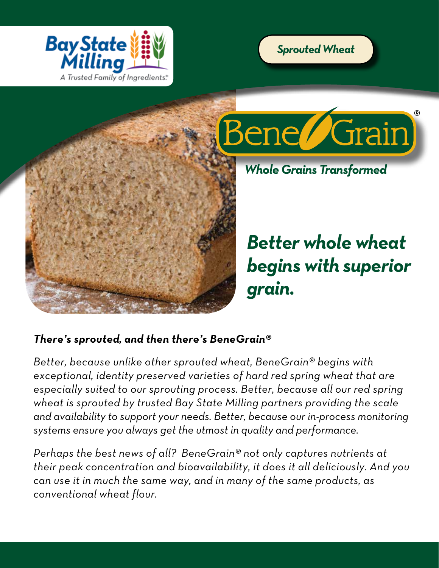





*Whole Grains Transformed*

*Better whole wheat begins with superior grain.*

# *There's sprouted, and then there's BeneGrain®*

*Better, because unlike other sprouted wheat, BeneGrain® begins with exceptional, identity preserved varieties of hard red spring wheat that are especially suited to our sprouting process. Better, because all our red spring wheat is sprouted by trusted Bay State Milling partners providing the scale and availability to support your needs. Better, because our in-process monitoring systems ensure you always get the utmost in quality and performance.* 

*Perhaps the best news of all? BeneGrain® not only captures nutrients at their peak concentration and bioavailability, it does it all deliciously. And you can use it in much the same way, and in many of the same products, as conventional wheat flour.*